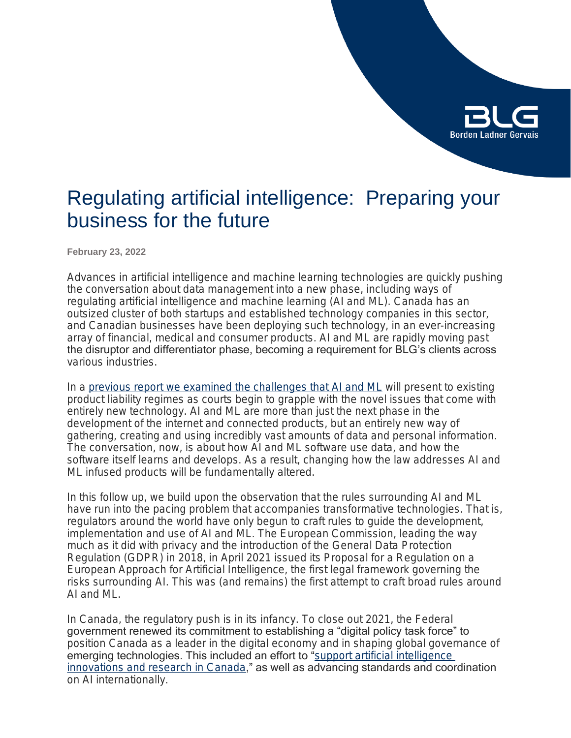

## Regulating artificial intelligence: Preparing your business for the future

**February 23, 2022**

Advances in artificial intelligence and machine learning technologies are quickly pushing the conversation about data management into a new phase, including ways of regulating artificial intelligence and machine learning (AI and ML). Canada has an outsized cluster of both startups and established technology companies in this sector, and Canadian businesses have been deploying such technology, in an ever-increasing array of financial, medical and consumer products. AI and ML are rapidly moving past the disruptor and differentiator phase, becoming a requirement for BLG's clients across various industries.

In a [previous report we examined the challenges that AI and ML](https://www.blg.com/en/insights/2021/03/artificial-intelligence-and-product-liability) will present to existing product liability regimes as courts begin to grapple with the novel issues that come with entirely new technology. AI and ML are more than just the next phase in the development of the internet and connected products, but an entirely new way of gathering, creating and using incredibly vast amounts of data and personal information. The conversation, now, is about how AI and ML software use data, and how the software itself learns and develops. As a result, changing how the law addresses AI and ML infused products will be fundamentally altered.

In this follow up, we build upon the observation that the rules surrounding AI and ML have run into the pacing problem that accompanies transformative technologies. That is, regulators around the world have only begun to craft rules to guide the development, implementation and use of AI and ML. The European Commission, leading the way much as it did with privacy and the introduction of the General Data Protection Regulation (GDPR) in 2018, in April 2021 issued its *Proposal for a Regulation on a European Approach for Artificial Intelligence*, the first legal framework governing the risks surrounding AI. This was (and remains) the first attempt to craft broad rules around AI and ML.

In Canada, the regulatory push is in its infancy. To close out 2021, the Federal government renewed its commitment to establishing a "digital policy task force" to position Canada as a leader in the digital economy and in shaping global governance of emerging technologies. This included an effort to "support artificial intelligence [innovations and research in Canada](https://pm.gc.ca/en/mandate-letters/2021/12/16/minister-innovation-science-and-industry-mandate-letter)," as well as advancing standards and coordination on AI internationally.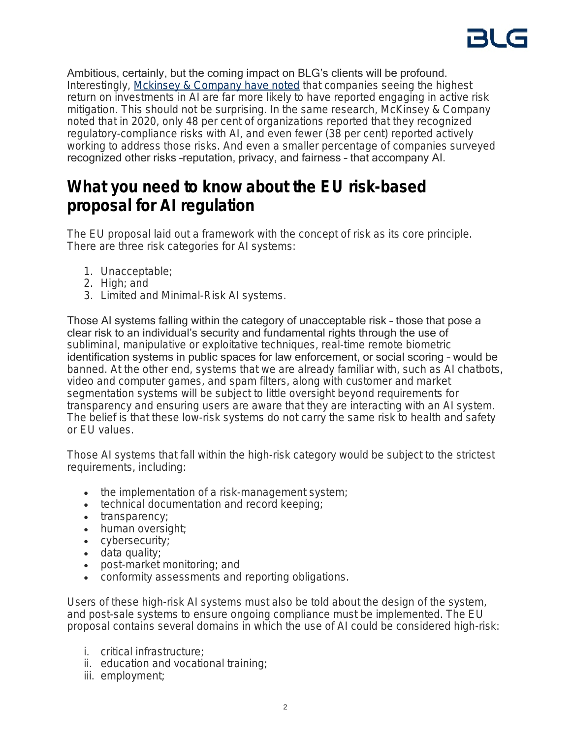Ambitious, certainly, but the coming impact on BLG's clients will be profound. Interestingly, [Mckinsey & Company have noted](https://www.mckinsey.com/business-functions/mckinsey-analytics/our-insights/what-the-draft-european-union-ai-regulations-mean-for-business) that companies seeing the highest return on investments in AI are far more likely to have reported engaging in active risk mitigation. This should not be surprising. In the same research, McKinsey & Company noted that in 2020, only 48 per cent of organizations reported that they recognized regulatory-compliance risks with AI, and even fewer (38 per cent) reported actively working to address those risks. And even a smaller percentage of companies surveyed recognized other risks –reputation, privacy, and fairness – that accompany AI.

### **What you need to know about the EU risk-based proposal for AI regulation**

The EU proposal laid out a framework with the concept of risk as its core principle. There are three risk categories for AI systems:

- 1. Unacceptable;
- 2. High; and
- 3. Limited and Minimal-Risk AI systems.

Those AI systems falling within the category of unacceptable risk – those that pose a clear risk to an individual's security and fundamental rights through the use of subliminal, manipulative or exploitative techniques, real-time remote biometric identification systems in public spaces for law enforcement, or social scoring – would be banned. At the other end, systems that we are already familiar with, such as AI chatbots, video and computer games, and spam filters, along with customer and market segmentation systems will be subject to little oversight beyond requirements for transparency and ensuring users are aware that they are interacting with an AI system. The belief is that these low-risk systems do not carry the same risk to health and safety or EU values.

Those AI systems that fall within the high-risk category would be subject to the strictest requirements, including:

- the implementation of a risk-management system;
- technical documentation and record keeping;
- transparency;
- human oversight;
- cybersecurity;
- data quality;
- post-market monitoring; and
- conformity assessments and reporting obligations.

Users of these high-risk AI systems must also be told about the design of the system, and post-sale systems to ensure ongoing compliance must be implemented. The EU proposal contains several domains in which the use of AI could be considered high-risk:

- i. critical infrastructure;
- ii. education and vocational training;
- iii. employment;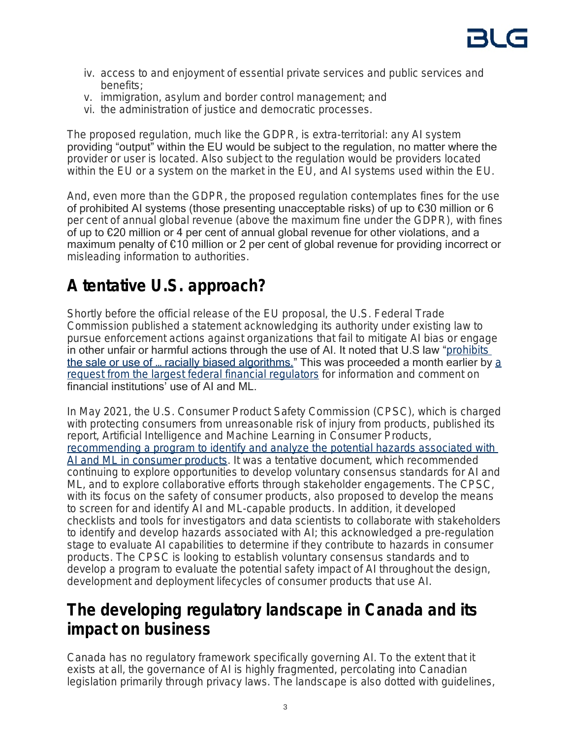- iv. access to and enjoyment of essential private services and public services and benefits;
- v. immigration, asylum and border control management; and
- vi. the administration of justice and democratic processes.

The proposed regulation, much like the GDPR, is extra-territorial: any AI system providing "output" within the EU would be subject to the regulation, no matter where the provider or user is located. Also subject to the regulation would be providers located within the EU or a system on the market in the EU, and AI systems used within the EU.

And, even more than the GDPR, the proposed regulation contemplates fines for the use of prohibited AI systems (those presenting unacceptable risks) of up to €30 million or 6 per cent of annual global revenue (above the maximum fine under the GDPR), with fines of up to €20 million or 4 per cent of annual global revenue for other violations, and a maximum penalty of €10 million or 2 per cent of global revenue for providing incorrect or misleading information to authorities.

## **A tentative U.S. approach?**

Shortly before the official release of the EU proposal, the U.S. Federal Trade Commission published a statement acknowledging its authority under existing law to pursue enforcement actions against organizations that fail to mitigate AI bias or engage in other unfair or harmful actions through the use of AI. It noted that U.S law "prohibits the s[a](https://www.govinfo.gov/content/pkg/FR-2021-03-31/pdf/2021-06607.pdf?utm_campaign=subscription%20mailing%20list&utm_source=federalregister.gov&utm_medium=email)le or use of ... racially biased algorithms." This was proceeded a month earlier by a [request from the largest federal financial regulators](https://www.govinfo.gov/content/pkg/FR-2021-03-31/pdf/2021-06607.pdf?utm_campaign=subscription%20mailing%20list&utm_source=federalregister.gov&utm_medium=email) for information and comment on financial institutions' use of AI and ML.

In May 2021, the U.S. Consumer Product Safety Commission (CPSC), which is charged with protecting consumers from unreasonable risk of injury from products, published its report, *Artificial Intelligence and Machine Learning in Consumer Products*, [recommending a program to identify and analyze the potential hazards associated with](https://www.cpsc.gov/s3fs-public/Artificial%20Intelligence%20and%20Machine%20Learning%20In%20Consumer%20Products.pdf)  [AI and ML in consumer products](https://www.cpsc.gov/s3fs-public/Artificial%20Intelligence%20and%20Machine%20Learning%20In%20Consumer%20Products.pdf). It was a tentative document, which recommended continuing to explore opportunities to develop voluntary consensus standards for AI and ML, and to explore collaborative efforts through stakeholder engagements. The CPSC, with its focus on the safety of consumer products, also proposed to develop the means to screen for and identify AI and ML-capable products. In addition, it developed checklists and tools for investigators and data scientists to collaborate with stakeholders to identify and develop hazards associated with AI; this acknowledged a pre-regulation stage to evaluate AI capabilities to determine if they contribute to hazards in consumer products. The CPSC is looking to establish voluntary consensus standards and to develop a program to evaluate the potential safety impact of AI throughout the design, development and deployment lifecycles of consumer products that use AI.

### **The developing regulatory landscape in Canada and its impact on business**

Canada has no regulatory framework specifically governing AI. To the extent that it exists at all, the governance of AI is highly fragmented, percolating into Canadian legislation primarily through privacy laws. The landscape is also dotted with guidelines,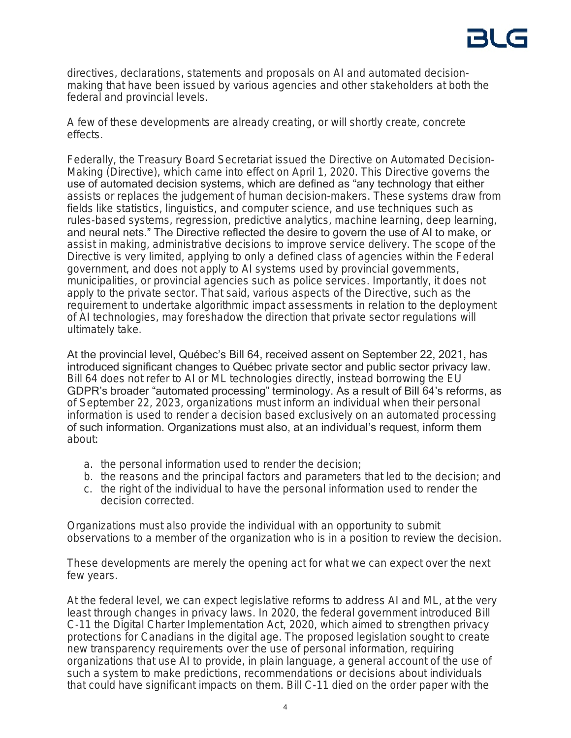directives, declarations, statements and proposals on AI and automated decisionmaking that have been issued by various agencies and other stakeholders at both the federal and provincial levels.

A few of these developments are already creating, or will shortly create, concrete effects.

Federally, the Treasury Board Secretariat issued the Directive on Automated Decision-Making (Directive), which came into effect on April 1, 2020. This Directive governs the use of automated decision systems, which are defined as "any technology that either assists or replaces the judgement of human decision-makers. These systems draw from fields like statistics, linguistics, and computer science, and use techniques such as rules-based systems, regression, predictive analytics, machine learning, deep learning, and neural nets." The Directive reflected the desire to govern the use of AI to make, or assist in making, administrative decisions to improve service delivery. The scope of the Directive is very limited, applying to only a defined class of agencies within the Federal government, and does not apply to AI systems used by provincial governments, municipalities, or provincial agencies such as police services. Importantly, it does not apply to the private sector. That said, various aspects of the Directive, such as the requirement to undertake algorithmic impact assessments in relation to the deployment of AI technologies, may foreshadow the direction that private sector regulations will ultimately take.

At the provincial level, Québec's Bill 64, received assent on September 22, 2021, has introduced significant changes to Québec private sector and public sector privacy law. Bill 64 does not refer to AI or ML technologies directly, instead borrowing the EU GDPR's broader "automated processing" terminology. As a result of Bill 64's reforms, as of September 22, 2023, organizations must inform an individual when their personal information is used to render a decision based exclusively on an automated processing of such information. Organizations must also, at an individual's request, inform them about:

- a. the personal information used to render the decision;
- b. the reasons and the principal factors and parameters that led to the decision; and
- c. the right of the individual to have the personal information used to render the decision corrected.

Organizations must also provide the individual with an opportunity to submit observations to a member of the organization who is in a position to review the decision.

These developments are merely the opening act for what we can expect over the next few years.

At the federal level, we can expect legislative reforms to address AI and ML, at the very least through changes in privacy laws. In 2020, the federal government introduced Bill C-11 the *Digital Charter Implementation Act,* 2020, which aimed to strengthen privacy protections for Canadians in the digital age. The proposed legislation sought to create new transparency requirements over the use of personal information, requiring organizations that use AI to provide, in plain language, a general account of the use of such a system to make predictions, recommendations or decisions about individuals that could have significant impacts on them. Bill C-11 died on the order paper with the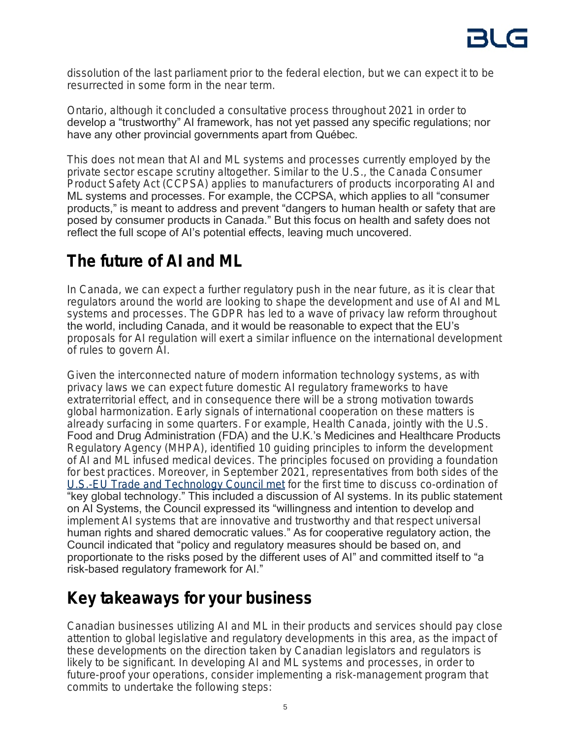

dissolution of the last parliament prior to the federal election, but we can expect it to be resurrected in some form in the near term.

Ontario, although it concluded a consultative process throughout 2021 in order to develop a "trustworthy" AI framework, has not yet passed any specific regulations; nor have any other provincial governments apart from Québec.

This does not mean that AI and ML systems and processes currently employed by the private sector escape scrutiny altogether. Similar to the U.S., the *Canada Consumer Product Safety Act* (CCPSA) applies to manufacturers of products incorporating AI and ML systems and processes. For example, the CCPSA, which applies to all "consumer products," is meant to address and prevent "dangers to human health or safety that are posed by consumer products in Canada." But this focus on health and safety does not reflect the full scope of AI's potential effects, leaving much uncovered.

## **The future of AI and ML**

In Canada, we can expect a further regulatory push in the near future, as it is clear that regulators around the world are looking to shape the development and use of AI and ML systems and processes. The GDPR has led to a wave of privacy law reform throughout the world, including Canada, and it would be reasonable to expect that the EU's proposals for AI regulation will exert a similar influence on the international development of rules to govern AI.

Given the interconnected nature of modern information technology systems, as with privacy laws we can expect future domestic AI regulatory frameworks to have extraterritorial effect, and in consequence there will be a strong motivation towards global harmonization. Early signals of international cooperation on these matters is already surfacing in some quarters. For example, Health Canada, jointly with the U.S. Food and Drug Administration (FDA) and the U.K.'s Medicines and Healthcare Products Regulatory Agency (MHPA), identified 10 guiding principles to inform the development of AI and ML infused medical devices. The principles focused on providing a foundation for best practices. Moreover, in September 2021, representatives from both sides of the [U.S.-EU Trade and Technology Council met](https://ec.europa.eu/commission/presscorner/detail/en/STATEMENT_21_4951.) for the first time to discuss co-ordination of "key global technology." This included a discussion of AI systems. In its public statement on AI Systems, the Council expressed its "willingness and intention to develop and implement AI systems that are innovative and trustworthy and that respect universal human rights and shared democratic values." As for cooperative regulatory action, the Council indicated that "policy and regulatory measures should be based on, and proportionate to the risks posed by the different uses of AI" and committed itself to "a risk-based regulatory framework for AI."

## **Key takeaways for your business**

Canadian businesses utilizing AI and ML in their products and services should pay close attention to global legislative and regulatory developments in this area, as the impact of these developments on the direction taken by Canadian legislators and regulators is likely to be significant. In developing AI and ML systems and processes, in order to future-proof your operations, consider implementing a risk-management program that commits to undertake the following steps: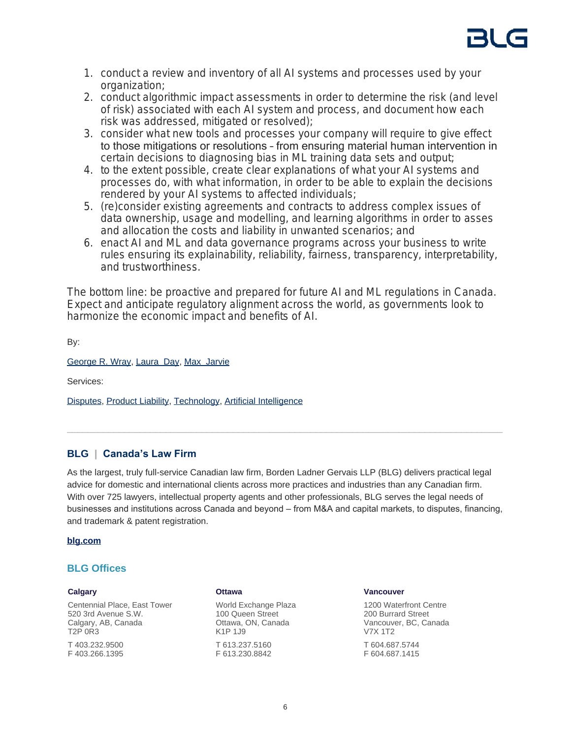

- 1. conduct a review and inventory of all AI systems and processes used by your organization;
- 2. conduct algorithmic impact assessments in order to determine the risk (and level of risk) associated with each AI system and process, and document how each risk was addressed, mitigated or resolved);
- 3. consider what new tools and processes your company will require to give effect to those mitigations or resolutions – from ensuring material human intervention in certain decisions to diagnosing bias in ML training data sets and output;
- 4. to the extent possible, create clear explanations of what your AI systems and processes do, with what information, in order to be able to explain the decisions rendered by your AI systems to affected individuals;
- 5. (re)consider existing agreements and contracts to address complex issues of data ownership, usage and modelling, and learning algorithms in order to asses and allocation the costs and liability in unwanted scenarios; and
- 6. enact AI and ML and data governance programs across your business to write rules ensuring its explainability, reliability, fairness, transparency, interpretability, and trustworthiness.

The bottom line: be proactive and prepared for future AI and ML regulations in Canada. Expect and anticipate regulatory alignment across the world, as governments look to harmonize the economic impact and benefits of AI.

By:

[George R. Wray,](https://www.blg.com/en/people/w/wray-george) [Laura Day](https://www.blg.com/en/people/d/day-laura), [Max Jarvie](https://www.blg.com/en/people/j/jarvie-max)

Services:

[Disputes,](https://www.blg.com/en/services/practice-areas/disputes) [Product Liability](https://www.blg.com/en/services/practice-areas/disputes/product-liability), [Technology,](https://www.blg.com/en/services/industries/technology) [Artificial Intelligence](https://www.blg.com/en/services/industries/technology/artificial-intelligence)

### **BLG | Canada's Law Firm**

As the largest, truly full-service Canadian law firm, Borden Ladner Gervais LLP (BLG) delivers practical legal advice for domestic and international clients across more practices and industries than any Canadian firm. With over 725 lawyers, intellectual property agents and other professionals, BLG serves the legal needs of businesses and institutions across Canada and beyond – from M&A and capital markets, to disputes, financing, and trademark & patent registration.

#### **[blg.com](http://www.blg.com)**

#### **BLG Offices**

#### **Calgary**

Centennial Place, East Tower 520 3rd Avenue S.W. Calgary, AB, Canada T2P 0R3 T 403.232.9500

F 403.266.1395

#### **Ottawa**

World Exchange Plaza 100 Queen Street Ottawa, ON, Canada K1P 1J9 T 613.237.5160 F 613.230.8842

#### **Vancouver**

1200 Waterfront Centre 200 Burrard Street Vancouver, BC, Canada V7X 1T2 T 604.687.5744 F 604.687.1415